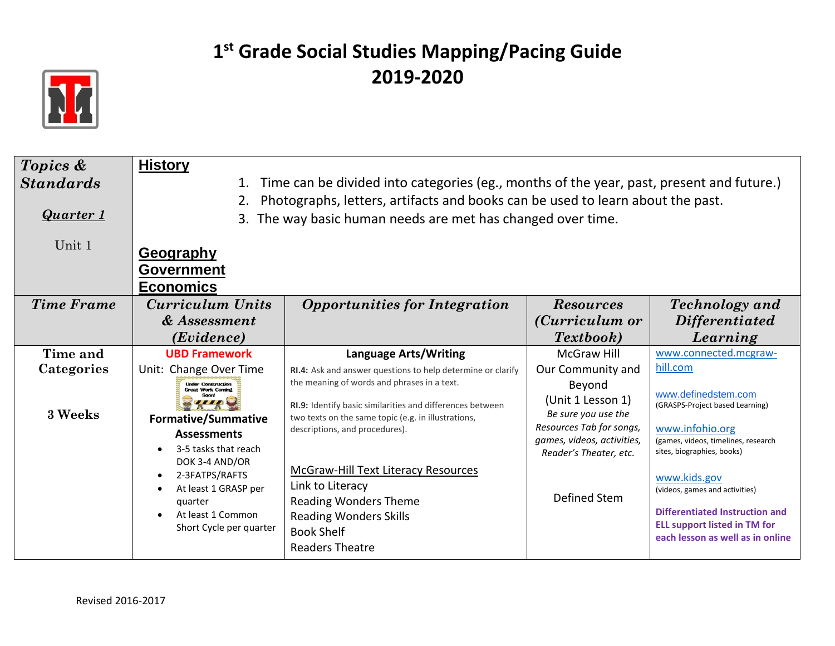

| Topics &          | <b>History</b>                                                                                                      |                                                                                                                                                                                |                                                    |                                                                                                                                                                                           |  |
|-------------------|---------------------------------------------------------------------------------------------------------------------|--------------------------------------------------------------------------------------------------------------------------------------------------------------------------------|----------------------------------------------------|-------------------------------------------------------------------------------------------------------------------------------------------------------------------------------------------|--|
| <b>Standards</b>  | Time can be divided into categories (eg., months of the year, past, present and future.)<br>1.                      |                                                                                                                                                                                |                                                    |                                                                                                                                                                                           |  |
|                   |                                                                                                                     | Photographs, letters, artifacts and books can be used to learn about the past.                                                                                                 |                                                    |                                                                                                                                                                                           |  |
| Quarter 1         |                                                                                                                     | 3. The way basic human needs are met has changed over time.                                                                                                                    |                                                    |                                                                                                                                                                                           |  |
| Unit 1            | <b>Geography</b><br><b>Government</b><br><b>Economics</b>                                                           |                                                                                                                                                                                |                                                    |                                                                                                                                                                                           |  |
| <b>Time Frame</b> | Curriculum Units                                                                                                    | <b>Opportunities for Integration</b>                                                                                                                                           | <b>Resources</b>                                   | <b>Technology</b> and                                                                                                                                                                     |  |
|                   | & Assessment                                                                                                        |                                                                                                                                                                                | (Curriculum or                                     | <i>Differentiated</i>                                                                                                                                                                     |  |
|                   | ( <i>Evidence</i> )                                                                                                 |                                                                                                                                                                                | Textbook)                                          | Learning                                                                                                                                                                                  |  |
| Time and          | <b>UBD Framework</b>                                                                                                | <b>Language Arts/Writing</b>                                                                                                                                                   | <b>McGraw Hill</b>                                 | www.connected.mcgraw-                                                                                                                                                                     |  |
| Categories        | Unit: Change Over Time                                                                                              | RI.4: Ask and answer questions to help determine or clarify                                                                                                                    | Our Community and                                  | hill.com                                                                                                                                                                                  |  |
| 3 Weeks           | <b>Under Construction</b><br><b>Great Work Coming</b>                                                               | the meaning of words and phrases in a text.<br>RI.9: Identify basic similarities and differences between<br>two texts on the same topic (e.g. in illustrations,                | Beyond<br>(Unit 1 Lesson 1)<br>Be sure you use the | www.definedstem.com<br>(GRASPS-Project based Learning)                                                                                                                                    |  |
|                   | <b>Formative/Summative</b>                                                                                          | descriptions, and procedures).                                                                                                                                                 | Resources Tab for songs,                           | www.infohio.org                                                                                                                                                                           |  |
|                   | <b>Assessments</b><br>3-5 tasks that reach                                                                          |                                                                                                                                                                                | games, videos, activities,                         | (games, videos, timelines, research                                                                                                                                                       |  |
|                   | DOK 3-4 AND/OR<br>2-3FATPS/RAFTS<br>At least 1 GRASP per<br>quarter<br>At least 1 Common<br>Short Cycle per quarter | <b>McGraw-Hill Text Literacy Resources</b><br>Link to Literacy<br><b>Reading Wonders Theme</b><br><b>Reading Wonders Skills</b><br><b>Book Shelf</b><br><b>Readers Theatre</b> | Reader's Theater, etc.<br>Defined Stem             | sites, biographies, books)<br>www.kids.gov<br>(videos, games and activities)<br>Differentiated Instruction and<br><b>ELL support listed in TM for</b><br>each lesson as well as in online |  |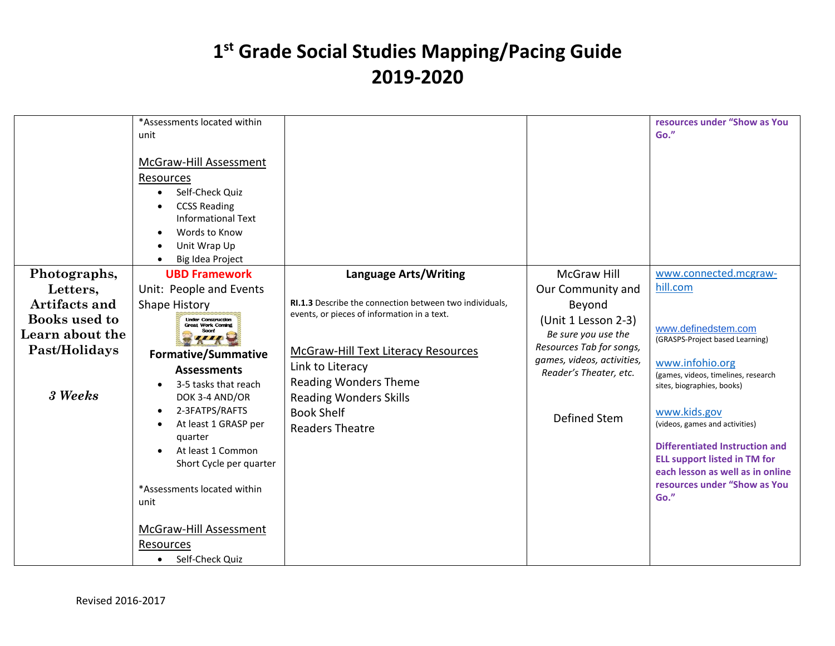|                                                              | *Assessments located within<br>unit<br>McGraw-Hill Assessment<br>Resources<br>Self-Check Quiz<br>$\bullet$<br><b>CCSS Reading</b><br><b>Informational Text</b><br>Words to Know<br>Unit Wrap Up<br>Big Idea Project                                                                                                                                                           |                                                                                                                                                                                                                               |                                                                                                                                                       | resources under "Show as You<br>Go."                                                                                                                                                                                                                                                                                                                  |
|--------------------------------------------------------------|-------------------------------------------------------------------------------------------------------------------------------------------------------------------------------------------------------------------------------------------------------------------------------------------------------------------------------------------------------------------------------|-------------------------------------------------------------------------------------------------------------------------------------------------------------------------------------------------------------------------------|-------------------------------------------------------------------------------------------------------------------------------------------------------|-------------------------------------------------------------------------------------------------------------------------------------------------------------------------------------------------------------------------------------------------------------------------------------------------------------------------------------------------------|
| Photographs,                                                 | <b>UBD Framework</b>                                                                                                                                                                                                                                                                                                                                                          | <b>Language Arts/Writing</b>                                                                                                                                                                                                  | <b>McGraw Hill</b>                                                                                                                                    | www.connected.mcgraw-                                                                                                                                                                                                                                                                                                                                 |
| Letters,<br>Artifacts and                                    | Unit: People and Events<br><b>Shape History</b>                                                                                                                                                                                                                                                                                                                               | RI.1.3 Describe the connection between two individuals,                                                                                                                                                                       | Our Community and<br>Beyond                                                                                                                           | hill.com                                                                                                                                                                                                                                                                                                                                              |
| Books used to<br>Learn about the<br>Past/Holidays<br>3 Weeks | <b>Linder Construction</b><br><b>Great Work Coming</b><br>Soonl<br>,,,,<br><b>Formative/Summative</b><br><b>Assessments</b><br>3-5 tasks that reach<br>DOK 3-4 AND/OR<br>2-3FATPS/RAFTS<br>At least 1 GRASP per<br>quarter<br>At least 1 Common<br>Short Cycle per quarter<br>*Assessments located within<br>unit<br>McGraw-Hill Assessment<br>Resources<br>• Self-Check Quiz | events, or pieces of information in a text.<br><b>McGraw-Hill Text Literacy Resources</b><br>Link to Literacy<br><b>Reading Wonders Theme</b><br><b>Reading Wonders Skills</b><br><b>Book Shelf</b><br><b>Readers Theatre</b> | (Unit 1 Lesson 2-3)<br>Be sure you use the<br>Resources Tab for songs,<br>games, videos, activities,<br>Reader's Theater, etc.<br><b>Defined Stem</b> | www.definedstem.com<br>(GRASPS-Project based Learning)<br>www.infohio.org<br>(games, videos, timelines, research<br>sites, biographies, books)<br>www.kids.gov<br>(videos, games and activities)<br>Differentiated Instruction and<br><b>ELL support listed in TM for</b><br>each lesson as well as in online<br>resources under "Show as You<br>Go." |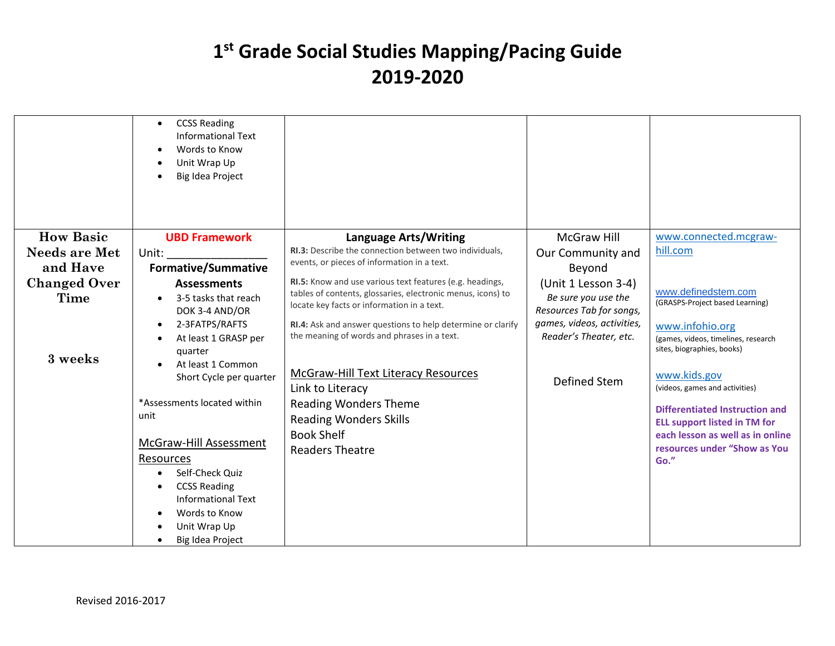|                      | <b>CCSS Reading</b><br>$\bullet$<br><b>Informational Text</b><br>Words to Know<br>$\bullet$<br>Unit Wrap Up<br>Big Idea Project |                                                                                                            |                                                      |                                                                                      |
|----------------------|---------------------------------------------------------------------------------------------------------------------------------|------------------------------------------------------------------------------------------------------------|------------------------------------------------------|--------------------------------------------------------------------------------------|
| <b>How Basic</b>     | <b>UBD Framework</b>                                                                                                            | <b>Language Arts/Writing</b>                                                                               | <b>McGraw Hill</b>                                   | www.connected.mcgraw-                                                                |
| <b>Needs are Met</b> | Unit:                                                                                                                           | <b>RI.3:</b> Describe the connection between two individuals.                                              | Our Community and                                    | hill.com                                                                             |
| and Have             | <b>Formative/Summative</b>                                                                                                      | events, or pieces of information in a text.                                                                | Beyond                                               |                                                                                      |
| <b>Changed Over</b>  | <b>Assessments</b>                                                                                                              | RI.5: Know and use various text features (e.g. headings,                                                   | (Unit 1 Lesson 3-4)                                  |                                                                                      |
| <b>Time</b>          | 3-5 tasks that reach<br>DOK 3-4 AND/OR                                                                                          | tables of contents, glossaries, electronic menus, icons) to<br>locate key facts or information in a text.  | Be sure you use the<br>Resources Tab for songs,      | www.definedstem.com<br>(GRASPS-Project based Learning)                               |
|                      | 2-3FATPS/RAFTS<br>$\bullet$<br>At least 1 GRASP per<br>quarter                                                                  | RI.4: Ask and answer questions to help determine or clarify<br>the meaning of words and phrases in a text. | games, videos, activities,<br>Reader's Theater, etc. | www.infohio.org<br>(games, videos, timelines, research<br>sites, biographies, books) |
| 3 weeks              | At least 1 Common<br>Short Cycle per quarter                                                                                    | McGraw-Hill Text Literacy Resources<br>Link to Literacy                                                    | <b>Defined Stem</b>                                  | www.kids.gov<br>(videos, games and activities)                                       |
|                      | *Assessments located within<br>unit                                                                                             | <b>Reading Wonders Theme</b><br><b>Reading Wonders Skills</b>                                              |                                                      | Differentiated Instruction and<br><b>ELL support listed in TM for</b>                |
|                      | McGraw-Hill Assessment                                                                                                          | <b>Book Shelf</b>                                                                                          |                                                      | each lesson as well as in online<br>resources under "Show as You                     |
|                      | Resources                                                                                                                       | <b>Readers Theatre</b>                                                                                     |                                                      | Go."                                                                                 |
|                      | Self-Check Quiz                                                                                                                 |                                                                                                            |                                                      |                                                                                      |
|                      | <b>CCSS Reading</b><br>$\bullet$                                                                                                |                                                                                                            |                                                      |                                                                                      |
|                      | <b>Informational Text</b><br>Words to Know                                                                                      |                                                                                                            |                                                      |                                                                                      |
|                      | Unit Wrap Up                                                                                                                    |                                                                                                            |                                                      |                                                                                      |
|                      | Big Idea Project                                                                                                                |                                                                                                            |                                                      |                                                                                      |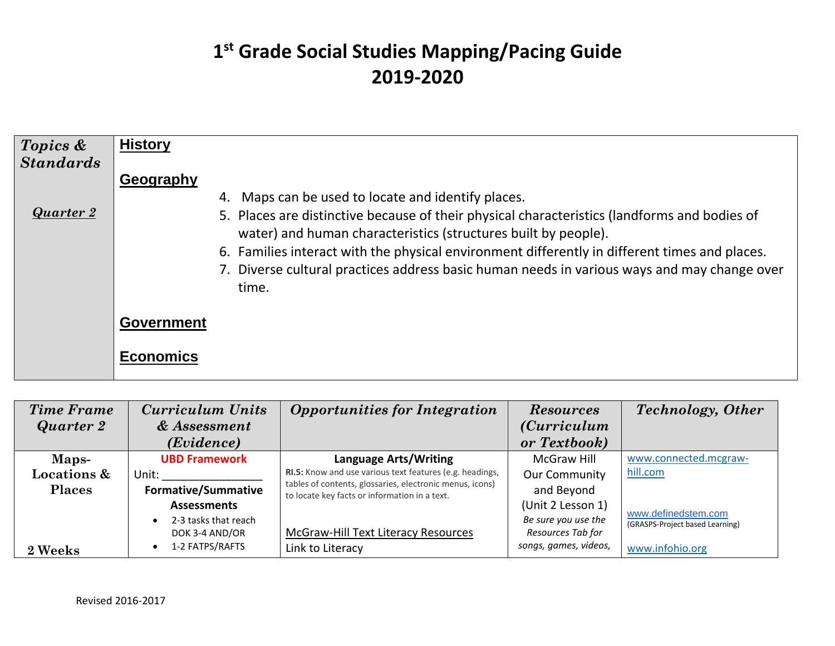| Topics &<br><b>Standards</b> | <b>History</b>                                                                                                                                                                                                                                                                                                                                                                                                                       |
|------------------------------|--------------------------------------------------------------------------------------------------------------------------------------------------------------------------------------------------------------------------------------------------------------------------------------------------------------------------------------------------------------------------------------------------------------------------------------|
| <b>Quarter 2</b>             | Geography<br>Maps can be used to locate and identify places.<br>4.<br>5. Places are distinctive because of their physical characteristics (landforms and bodies of<br>water) and human characteristics (structures built by people).<br>6. Families interact with the physical environment differently in different times and places.<br>7. Diverse cultural practices address basic human needs in various ways and may change over |
|                              | time.<br><b>Government</b><br><b>Economics</b>                                                                                                                                                                                                                                                                                                                                                                                       |

| <b>Time Frame</b><br>Quarter 2 | <b>Curriculum Units</b><br>& Assessment | <b>Opportunities for Integration</b>                                                                      | <b>Resources</b><br><i>(Curriculum</i> ) | <b>Technology</b> , Other                              |
|--------------------------------|-----------------------------------------|-----------------------------------------------------------------------------------------------------------|------------------------------------------|--------------------------------------------------------|
|                                | ( <i>Evidence</i> )                     |                                                                                                           | or Textbook)                             |                                                        |
| Maps-                          | <b>UBD Framework</b>                    | <b>Language Arts/Writing</b>                                                                              | McGraw Hill                              | www.connected.mcgraw-                                  |
| <b>Locations &amp;</b>         | Unit:                                   | RI.5: Know and use various text features (e.g. headings,                                                  | <b>Our Community</b>                     | hill.com                                               |
| <b>Places</b>                  | <b>Formative/Summative</b>              | tables of contents, glossaries, electronic menus, icons)<br>to locate key facts or information in a text. | and Beyond                               |                                                        |
|                                | <b>Assessments</b>                      |                                                                                                           | (Unit 2 Lesson 1)                        |                                                        |
|                                | 2-3 tasks that reach<br>$\bullet$       |                                                                                                           | Be sure you use the                      | www.definedstem.com<br>(GRASPS-Project based Learning) |
|                                | DOK 3-4 AND/OR                          | McGraw-Hill Text Literacy Resources                                                                       | Resources Tab for                        |                                                        |
| 2 Weeks                        | 1-2 FATPS/RAFTS<br>$\bullet$            | Link to Literacy                                                                                          | songs, games, videos,                    | www.infohio.org                                        |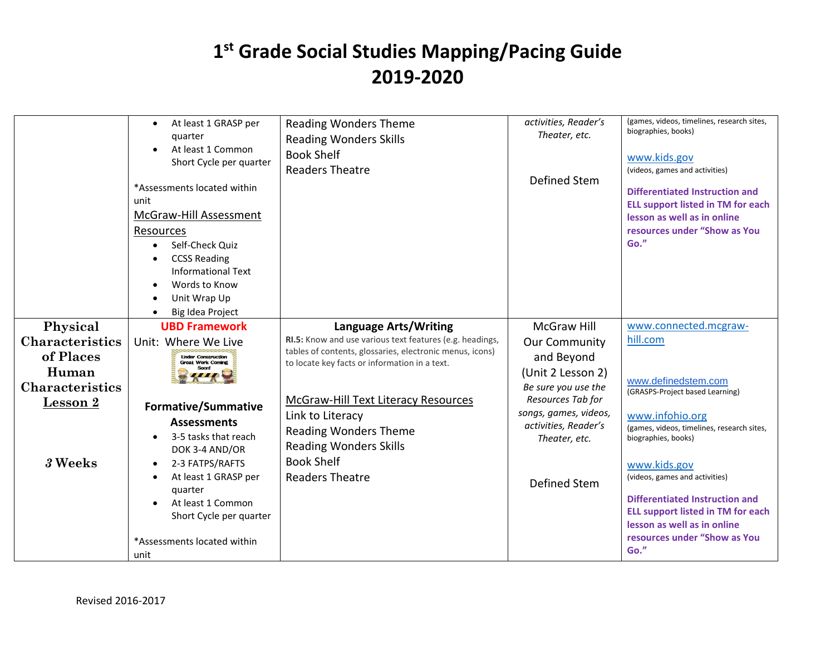|                                    | At least 1 GRASP per<br>$\bullet$<br>quarter<br>At least 1 Common<br>Short Cycle per quarter<br>*Assessments located within<br>unit<br>McGraw-Hill Assessment<br>Resources<br>Self-Check Quiz<br><b>CCSS Reading</b><br><b>Informational Text</b><br>Words to Know<br>Unit Wrap Up<br>Big Idea Project | <b>Reading Wonders Theme</b><br><b>Reading Wonders Skills</b><br><b>Book Shelf</b><br><b>Readers Theatre</b>                     | activities, Reader's<br>Theater, etc.<br>Defined Stem                          | (games, videos, timelines, research sites,<br>biographies, books)<br>www.kids.gov<br>(videos, games and activities)<br>Differentiated Instruction and<br><b>ELL support listed in TM for each</b><br>lesson as well as in online<br>resources under "Show as You<br>Go." |
|------------------------------------|--------------------------------------------------------------------------------------------------------------------------------------------------------------------------------------------------------------------------------------------------------------------------------------------------------|----------------------------------------------------------------------------------------------------------------------------------|--------------------------------------------------------------------------------|--------------------------------------------------------------------------------------------------------------------------------------------------------------------------------------------------------------------------------------------------------------------------|
| Physical<br><b>Characteristics</b> | <b>UBD Framework</b><br>Unit: Where We Live                                                                                                                                                                                                                                                            | <b>Language Arts/Writing</b><br>RI.5: Know and use various text features (e.g. headings,                                         | <b>McGraw Hill</b><br><b>Our Community</b>                                     | www.connected.mcgraw-<br>hill.com                                                                                                                                                                                                                                        |
| of Places<br>Human                 | <b>Linder Construction</b><br><b>Great Work Coming</b>                                                                                                                                                                                                                                                 | tables of contents, glossaries, electronic menus, icons)<br>to locate key facts or information in a text.                        | and Beyond<br>(Unit 2 Lesson 2)                                                |                                                                                                                                                                                                                                                                          |
| <b>Characteristics</b><br>Lesson 2 | <b>Formative/Summative</b>                                                                                                                                                                                                                                                                             | <b>McGraw-Hill Text Literacy Resources</b>                                                                                       | Be sure you use the<br>Resources Tab for                                       | www.definedstem.com<br>(GRASPS-Project based Learning)                                                                                                                                                                                                                   |
| 3 Weeks                            | <b>Assessments</b><br>3-5 tasks that reach<br>DOK 3-4 AND/OR<br>2-3 FATPS/RAFTS<br>At least 1 GRASP per                                                                                                                                                                                                | Link to Literacy<br><b>Reading Wonders Theme</b><br><b>Reading Wonders Skills</b><br><b>Book Shelf</b><br><b>Readers Theatre</b> | songs, games, videos,<br>activities, Reader's<br>Theater, etc.<br>Defined Stem | www.infohio.org<br>(games, videos, timelines, research sites,<br>biographies, books)<br>www.kids.gov<br>(videos, games and activities)                                                                                                                                   |
|                                    | quarter<br>At least 1 Common<br>Short Cycle per quarter<br>*Assessments located within<br>unit                                                                                                                                                                                                         |                                                                                                                                  |                                                                                | <b>Differentiated Instruction and</b><br><b>ELL support listed in TM for each</b><br>lesson as well as in online<br>resources under "Show as You<br>Go."                                                                                                                 |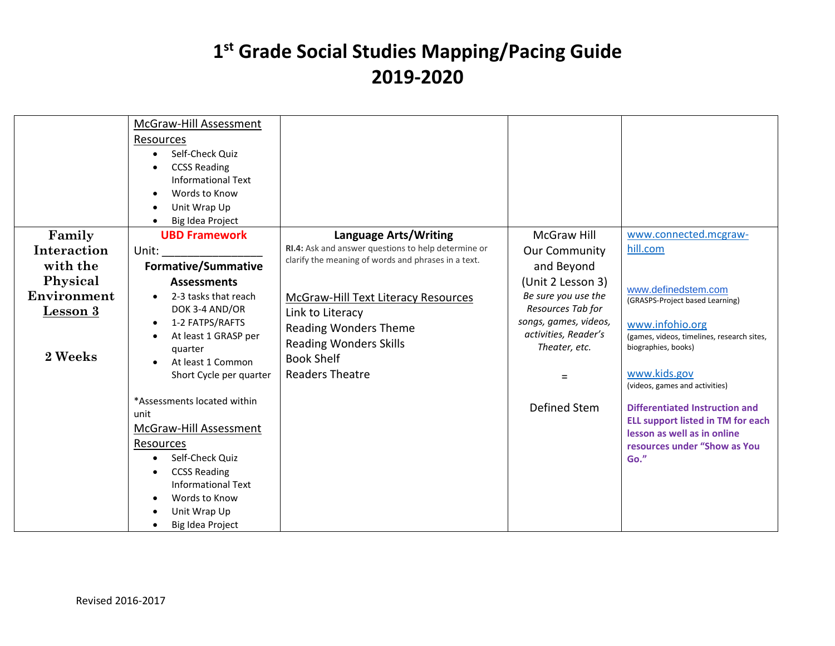|                 | McGraw-Hill Assessment<br>Resources<br>Self-Check Quiz<br>$\bullet$<br><b>CCSS Reading</b><br><b>Informational Text</b><br>Words to Know<br>Unit Wrap Up<br>Big Idea Project |                                                     |                                       |                                                                   |
|-----------------|------------------------------------------------------------------------------------------------------------------------------------------------------------------------------|-----------------------------------------------------|---------------------------------------|-------------------------------------------------------------------|
| Family          | <b>UBD Framework</b>                                                                                                                                                         | <b>Language Arts/Writing</b>                        | <b>McGraw Hill</b>                    | www.connected.mcgraw-                                             |
| Interaction     | Unit:                                                                                                                                                                        | RI.4: Ask and answer questions to help determine or | <b>Our Community</b>                  | hill.com                                                          |
| with the        | <b>Formative/Summative</b>                                                                                                                                                   | clarify the meaning of words and phrases in a text. | and Beyond                            |                                                                   |
| Physical        | <b>Assessments</b>                                                                                                                                                           |                                                     | (Unit 2 Lesson 3)                     |                                                                   |
| Environment     | 2-3 tasks that reach                                                                                                                                                         | <b>McGraw-Hill Text Literacy Resources</b>          | Be sure you use the                   | www.definedstem.com<br>(GRASPS-Project based Learning)            |
| <b>Lesson 3</b> | DOK 3-4 AND/OR                                                                                                                                                               | Link to Literacy                                    | Resources Tab for                     |                                                                   |
|                 | 1-2 FATPS/RAFTS<br>$\bullet$                                                                                                                                                 | <b>Reading Wonders Theme</b>                        | songs, games, videos,                 | www.infohio.org                                                   |
|                 | At least 1 GRASP per                                                                                                                                                         | <b>Reading Wonders Skills</b>                       | activities, Reader's<br>Theater, etc. | (games, videos, timelines, research sites,<br>biographies, books) |
| 2 Weeks         | quarter<br>At least 1 Common                                                                                                                                                 | <b>Book Shelf</b>                                   |                                       |                                                                   |
|                 | Short Cycle per quarter                                                                                                                                                      | <b>Readers Theatre</b>                              | $=$                                   | www.kids.gov<br>(videos, games and activities)                    |
|                 | *Assessments located within                                                                                                                                                  |                                                     | Defined Stem                          | <b>Differentiated Instruction and</b>                             |
|                 | unit                                                                                                                                                                         |                                                     |                                       | <b>ELL support listed in TM for each</b>                          |
|                 | McGraw-Hill Assessment                                                                                                                                                       |                                                     |                                       | lesson as well as in online                                       |
|                 | Resources                                                                                                                                                                    |                                                     |                                       | resources under "Show as You                                      |
|                 | Self-Check Quiz                                                                                                                                                              |                                                     |                                       | Go."                                                              |
|                 | <b>CCSS Reading</b>                                                                                                                                                          |                                                     |                                       |                                                                   |
|                 | <b>Informational Text</b><br>Words to Know                                                                                                                                   |                                                     |                                       |                                                                   |
|                 | Unit Wrap Up                                                                                                                                                                 |                                                     |                                       |                                                                   |
|                 | Big Idea Project                                                                                                                                                             |                                                     |                                       |                                                                   |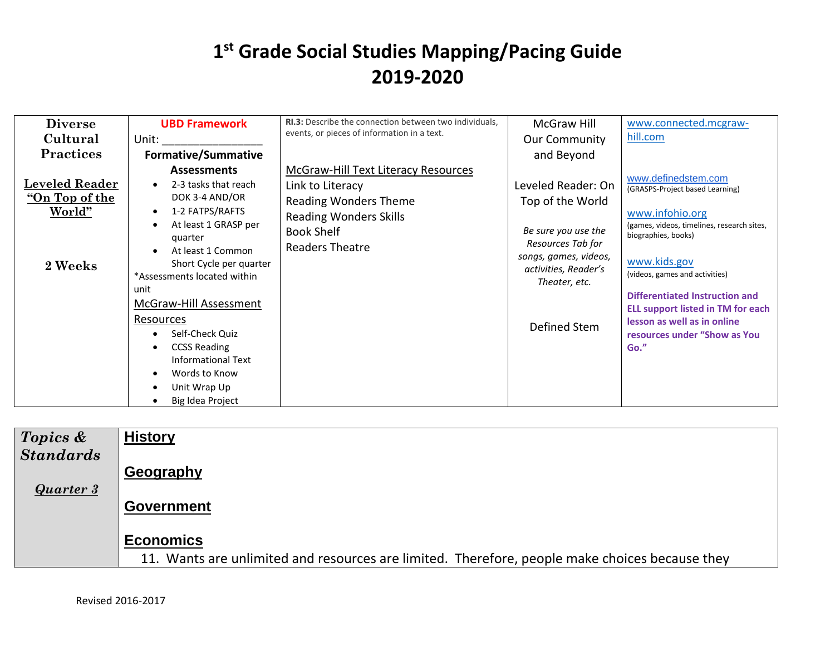| <b>Diverse</b><br>Cultural<br><b>Practices</b>               | <b>UBD Framework</b><br>Unit:<br><b>Formative/Summative</b>                                                                                                                                                                                                                                                                                                                               | RI.3: Describe the connection between two individuals,<br>events, or pieces of information in a text.                                                            | McGraw Hill<br><b>Our Community</b><br>and Beyond                                                                                                                    | www.connected.mcgraw-<br>hill.com                                                                                                                                                                                                                                                                                                                            |
|--------------------------------------------------------------|-------------------------------------------------------------------------------------------------------------------------------------------------------------------------------------------------------------------------------------------------------------------------------------------------------------------------------------------------------------------------------------------|------------------------------------------------------------------------------------------------------------------------------------------------------------------|----------------------------------------------------------------------------------------------------------------------------------------------------------------------|--------------------------------------------------------------------------------------------------------------------------------------------------------------------------------------------------------------------------------------------------------------------------------------------------------------------------------------------------------------|
| <b>Leveled Reader</b><br>"On Top of the<br>World"<br>2 Weeks | <b>Assessments</b><br>2-3 tasks that reach<br>DOK 3-4 AND/OR<br>1-2 FATPS/RAFTS<br>At least 1 GRASP per<br>quarter<br>At least 1 Common<br>Short Cycle per quarter<br>*Assessments located within<br>unit<br>McGraw-Hill Assessment<br>Resources<br>Self-Check Quiz<br><b>CCSS Reading</b><br><b>Informational Text</b><br>Words to Know<br>$\bullet$<br>Unit Wrap Up<br>Big Idea Project | McGraw-Hill Text Literacy Resources<br>Link to Literacy<br><b>Reading Wonders Theme</b><br><b>Reading Wonders Skills</b><br><b>Book Shelf</b><br>Readers Theatre | Leveled Reader: On<br>Top of the World<br>Be sure you use the<br>Resources Tab for<br>songs, games, videos,<br>activities, Reader's<br>Theater, etc.<br>Defined Stem | www.definedstem.com<br>(GRASPS-Project based Learning)<br>www.infohio.org<br>(games, videos, timelines, research sites,<br>biographies, books)<br>www.kids.gov<br>(videos, games and activities)<br><b>Differentiated Instruction and</b><br><b>ELL support listed in TM for each</b><br>lesson as well as in online<br>resources under "Show as You<br>Go." |

| <b>History</b>                                                                                 |
|------------------------------------------------------------------------------------------------|
|                                                                                                |
| Geography                                                                                      |
|                                                                                                |
| <b>Government</b>                                                                              |
| <b>Economics</b>                                                                               |
| 11. Wants are unlimited and resources are limited. Therefore, people make choices because they |
|                                                                                                |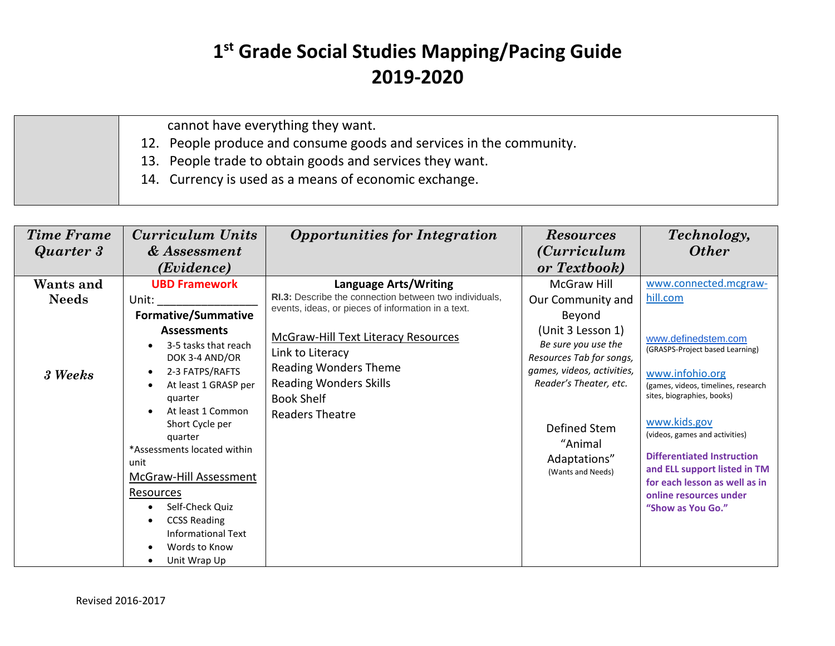cannot have everything they want.

12. People produce and consume goods and services in the community.

13. People trade to obtain goods and services they want.

14. Currency is used as a means of economic exchange.

| <b>Time Frame</b><br>Quarter 3       | Curriculum Units<br>& Assessment<br>(Evidence)                                                                                                                                                                                                                                                                                                                                                                                                                                        | <b>Opportunities for Integration</b>                                                                                                                                                                                                                                                                                    | <b>Resources</b><br><i>(Curriculum</i> )<br>or Textbook)                                                                                                                                                                                   | Technology,<br><b>Other</b>                                                                                                                                                                                                                                                                                                                                                                |
|--------------------------------------|---------------------------------------------------------------------------------------------------------------------------------------------------------------------------------------------------------------------------------------------------------------------------------------------------------------------------------------------------------------------------------------------------------------------------------------------------------------------------------------|-------------------------------------------------------------------------------------------------------------------------------------------------------------------------------------------------------------------------------------------------------------------------------------------------------------------------|--------------------------------------------------------------------------------------------------------------------------------------------------------------------------------------------------------------------------------------------|--------------------------------------------------------------------------------------------------------------------------------------------------------------------------------------------------------------------------------------------------------------------------------------------------------------------------------------------------------------------------------------------|
| Wants and<br><b>Needs</b><br>3 Weeks | <b>UBD Framework</b><br>Unit:<br><b>Formative/Summative</b><br><b>Assessments</b><br>3-5 tasks that reach<br>DOK 3-4 AND/OR<br>2-3 FATPS/RAFTS<br>$\bullet$<br>At least 1 GRASP per<br>$\bullet$<br>quarter<br>At least 1 Common<br>Short Cycle per<br>quarter<br>*Assessments located within<br>unit<br>McGraw-Hill Assessment<br><b>Resources</b><br>Self-Check Quiz<br>$\bullet$<br><b>CCSS Reading</b><br>$\bullet$<br><b>Informational Text</b><br>Words to Know<br>Unit Wrap Up | <b>Language Arts/Writing</b><br>RI.3: Describe the connection between two individuals,<br>events, ideas, or pieces of information in a text.<br>McGraw-Hill Text Literacy Resources<br>Link to Literacy<br><b>Reading Wonders Theme</b><br><b>Reading Wonders Skills</b><br><b>Book Shelf</b><br><b>Readers Theatre</b> | McGraw Hill<br>Our Community and<br>Beyond<br>(Unit 3 Lesson 1)<br>Be sure you use the<br>Resources Tab for songs,<br>games, videos, activities,<br>Reader's Theater, etc.<br>Defined Stem<br>"Animal<br>Adaptations"<br>(Wants and Needs) | www.connected.mcgraw-<br>hill.com<br>www.definedstem.com<br>(GRASPS-Project based Learning)<br>www.infohio.org<br>(games, videos, timelines, research<br>sites, biographies, books)<br>www.kids.gov<br>(videos, games and activities)<br><b>Differentiated Instruction</b><br>and ELL support listed in TM<br>for each lesson as well as in<br>online resources under<br>"Show as You Go." |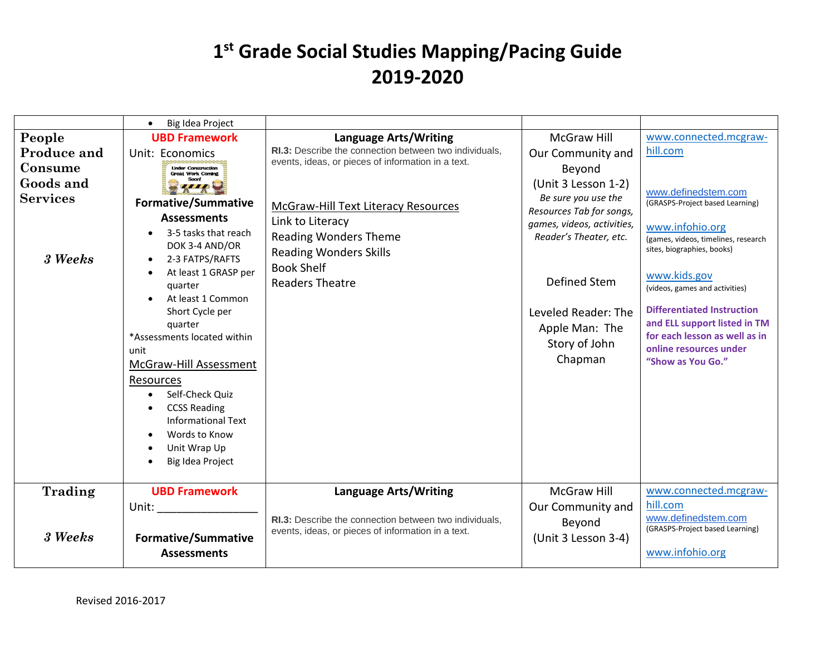|                                                                   | Big Idea Project                                                                                                                                                                                                                                                                                                                                                                                                                                                                                                                               |                                                                                                                                                                                                                                                                                                |                                                                                                                                                                                                                                                           |                                                                                                                                                                                                                                                                                                                                                                   |
|-------------------------------------------------------------------|------------------------------------------------------------------------------------------------------------------------------------------------------------------------------------------------------------------------------------------------------------------------------------------------------------------------------------------------------------------------------------------------------------------------------------------------------------------------------------------------------------------------------------------------|------------------------------------------------------------------------------------------------------------------------------------------------------------------------------------------------------------------------------------------------------------------------------------------------|-----------------------------------------------------------------------------------------------------------------------------------------------------------------------------------------------------------------------------------------------------------|-------------------------------------------------------------------------------------------------------------------------------------------------------------------------------------------------------------------------------------------------------------------------------------------------------------------------------------------------------------------|
| People                                                            | <b>UBD Framework</b>                                                                                                                                                                                                                                                                                                                                                                                                                                                                                                                           | <b>Language Arts/Writing</b>                                                                                                                                                                                                                                                                   | <b>McGraw Hill</b>                                                                                                                                                                                                                                        | www.connected.mcgraw-                                                                                                                                                                                                                                                                                                                                             |
| Produce and<br>Consume<br>Goods and<br><b>Services</b><br>3 Weeks | Unit: Economics<br><b>Linder Construction</b><br><b>Great Work Coming</b><br><b>Formative/Summative</b><br><b>Assessments</b><br>3-5 tasks that reach<br>DOK 3-4 AND/OR<br>2-3 FATPS/RAFTS<br>$\bullet$<br>At least 1 GRASP per<br>$\bullet$<br>quarter<br>At least 1 Common<br>Short Cycle per<br>quarter<br>*Assessments located within<br>unit<br>McGraw-Hill Assessment<br>Resources<br>Self-Check Quiz<br>$\bullet$<br><b>CCSS Reading</b><br><b>Informational Text</b><br>Words to Know<br>Unit Wrap Up<br>$\bullet$<br>Big Idea Project | RI.3: Describe the connection between two individuals,<br>events, ideas, or pieces of information in a text.<br><b>McGraw-Hill Text Literacy Resources</b><br>Link to Literacy<br><b>Reading Wonders Theme</b><br><b>Reading Wonders Skills</b><br><b>Book Shelf</b><br><b>Readers Theatre</b> | Our Community and<br>Beyond<br>(Unit 3 Lesson 1-2)<br>Be sure you use the<br>Resources Tab for songs,<br>games, videos, activities,<br>Reader's Theater, etc.<br><b>Defined Stem</b><br>Leveled Reader: The<br>Apple Man: The<br>Story of John<br>Chapman | hill.com<br>www.definedstem.com<br>(GRASPS-Project based Learning)<br>www.infohio.org<br>(games, videos, timelines, research<br>sites, biographies, books)<br>www.kids.gov<br>(videos, games and activities)<br><b>Differentiated Instruction</b><br>and ELL support listed in TM<br>for each lesson as well as in<br>online resources under<br>"Show as You Go." |
| Trading                                                           | <b>UBD Framework</b>                                                                                                                                                                                                                                                                                                                                                                                                                                                                                                                           | <b>Language Arts/Writing</b>                                                                                                                                                                                                                                                                   | <b>McGraw Hill</b>                                                                                                                                                                                                                                        | www.connected.mcgraw-                                                                                                                                                                                                                                                                                                                                             |
|                                                                   | Unit:                                                                                                                                                                                                                                                                                                                                                                                                                                                                                                                                          | RI.3: Describe the connection between two individuals,                                                                                                                                                                                                                                         | Our Community and<br>Beyond                                                                                                                                                                                                                               | hill.com<br>www.definedstem.com<br>(GRASPS-Project based Learning)                                                                                                                                                                                                                                                                                                |
| 3 Weeks                                                           | <b>Formative/Summative</b><br><b>Assessments</b>                                                                                                                                                                                                                                                                                                                                                                                                                                                                                               | events, ideas, or pieces of information in a text.                                                                                                                                                                                                                                             | (Unit 3 Lesson 3-4)                                                                                                                                                                                                                                       | www.infohio.org                                                                                                                                                                                                                                                                                                                                                   |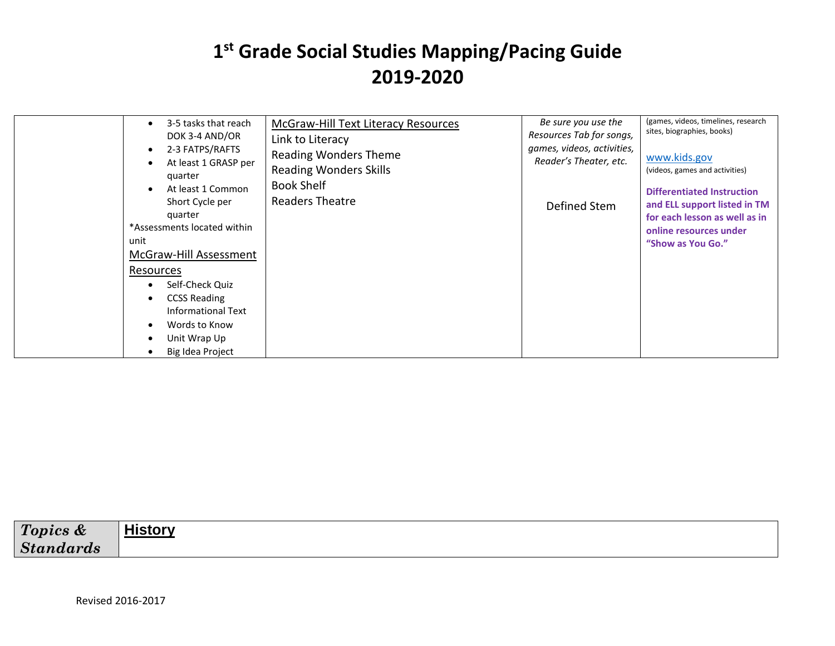| 3-5 tasks that reach<br>٠<br>DOK 3-4 AND/OR<br>2-3 FATPS/RAFTS<br>$\bullet$<br>At least 1 GRASP per<br>$\bullet$<br>quarter<br>At least 1 Common<br>$\bullet$<br>Short Cycle per<br>quarter<br>*Assessments located within<br>unit<br>McGraw-Hill Assessment<br>Resources<br>Self-Check Quiz<br>$\bullet$<br><b>CCSS Reading</b><br>٠<br>Informational Text<br>Words to Know<br>$\bullet$<br>Unit Wrap Up<br>٠<br>Big Idea Project<br>$\bullet$ | McGraw-Hill Text Literacy Resources<br>Link to Literacy<br><b>Reading Wonders Theme</b><br><b>Reading Wonders Skills</b><br><b>Book Shelf</b><br>Readers Theatre | Be sure you use the<br>Resources Tab for songs,<br>games, videos, activities,<br>Reader's Theater, etc.<br>Defined Stem | (games, videos, timelines, research<br>sites, biographies, books)<br>www.kids.gov<br>(videos, games and activities)<br><b>Differentiated Instruction</b><br>and ELL support listed in TM<br>for each lesson as well as in<br>online resources under<br>"Show as You Go." |
|-------------------------------------------------------------------------------------------------------------------------------------------------------------------------------------------------------------------------------------------------------------------------------------------------------------------------------------------------------------------------------------------------------------------------------------------------|------------------------------------------------------------------------------------------------------------------------------------------------------------------|-------------------------------------------------------------------------------------------------------------------------|--------------------------------------------------------------------------------------------------------------------------------------------------------------------------------------------------------------------------------------------------------------------------|
|-------------------------------------------------------------------------------------------------------------------------------------------------------------------------------------------------------------------------------------------------------------------------------------------------------------------------------------------------------------------------------------------------------------------------------------------------|------------------------------------------------------------------------------------------------------------------------------------------------------------------|-------------------------------------------------------------------------------------------------------------------------|--------------------------------------------------------------------------------------------------------------------------------------------------------------------------------------------------------------------------------------------------------------------------|

| Topics &             | <b>History</b> |
|----------------------|----------------|
| <b>Sta</b><br>ndards |                |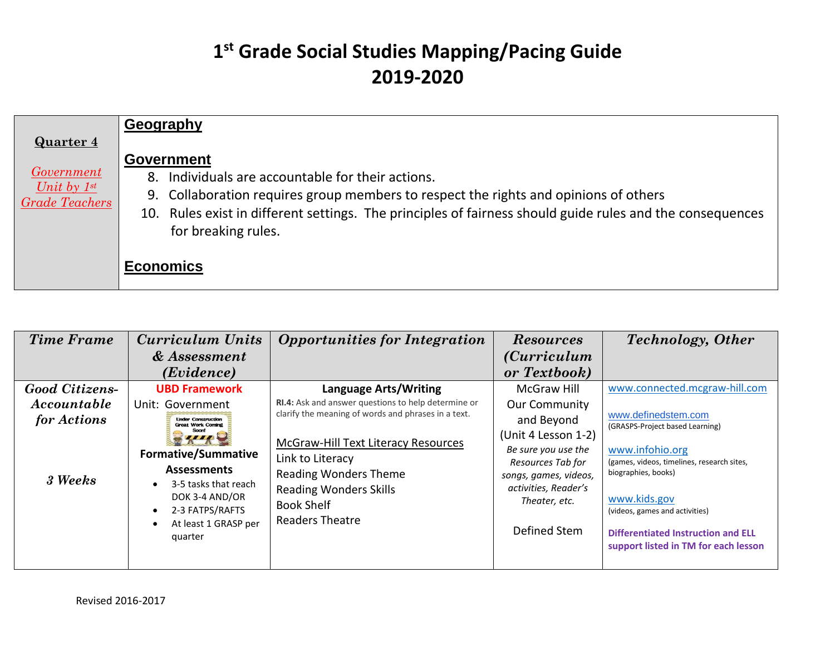|                                                                | Geography                                                                                                                                                                                                                                                                                          |
|----------------------------------------------------------------|----------------------------------------------------------------------------------------------------------------------------------------------------------------------------------------------------------------------------------------------------------------------------------------------------|
| <b>Quarter 4</b>                                               |                                                                                                                                                                                                                                                                                                    |
| <i>Government</i><br>Unit by $1^{st}$<br><b>Grade Teachers</b> | <b>Government</b><br>8. Individuals are accountable for their actions.<br>9. Collaboration requires group members to respect the rights and opinions of others<br>10. Rules exist in different settings. The principles of fairness should guide rules and the consequences<br>for breaking rules. |
|                                                                | <b>Economics</b>                                                                                                                                                                                                                                                                                   |

| <b>Time Frame</b>     | <b>Curriculum Units</b>                                                                                                                          | <b>Opportunities for Integration</b>                                                                                                                                    | <b>Resources</b>                                                                                                                                  | <b>Technology</b> , Other                                                                                                                                                                                            |
|-----------------------|--------------------------------------------------------------------------------------------------------------------------------------------------|-------------------------------------------------------------------------------------------------------------------------------------------------------------------------|---------------------------------------------------------------------------------------------------------------------------------------------------|----------------------------------------------------------------------------------------------------------------------------------------------------------------------------------------------------------------------|
|                       | & Assessment                                                                                                                                     |                                                                                                                                                                         | <i>(Curriculum</i> )                                                                                                                              |                                                                                                                                                                                                                      |
|                       | (Evidence)                                                                                                                                       |                                                                                                                                                                         | or Textbook)                                                                                                                                      |                                                                                                                                                                                                                      |
| <b>Good Citizens-</b> | <b>UBD Framework</b>                                                                                                                             | <b>Language Arts/Writing</b>                                                                                                                                            | McGraw Hill                                                                                                                                       | www.connected.mcgraw-hill.com                                                                                                                                                                                        |
| Accountable           | Unit: Government                                                                                                                                 | <b>RI.4:</b> Ask and answer questions to help determine or                                                                                                              | <b>Our Community</b>                                                                                                                              |                                                                                                                                                                                                                      |
| for Actions           | <b>Under Construction</b><br><b>Great Work Coming</b>                                                                                            | clarify the meaning of words and phrases in a text.                                                                                                                     | and Beyond                                                                                                                                        | www.definedstem.com<br>(GRASPS-Project based Learning)                                                                                                                                                               |
| 3 Weeks               | <b>Formative/Summative</b><br><b>Assessments</b><br>3-5 tasks that reach<br>DOK 3-4 AND/OR<br>2-3 FATPS/RAFTS<br>At least 1 GRASP per<br>quarter | McGraw-Hill Text Literacy Resources<br>Link to Literacy<br><b>Reading Wonders Theme</b><br><b>Reading Wonders Skills</b><br><b>Book Shelf</b><br><b>Readers Theatre</b> | (Unit 4 Lesson 1-2)<br>Be sure you use the<br>Resources Tab for<br>songs, games, videos,<br>activities, Reader's<br>Theater, etc.<br>Defined Stem | www.infohio.org<br>(games, videos, timelines, research sites,<br>biographies, books)<br>www.kids.gov<br>(videos, games and activities)<br>Differentiated Instruction and ELL<br>support listed in TM for each lesson |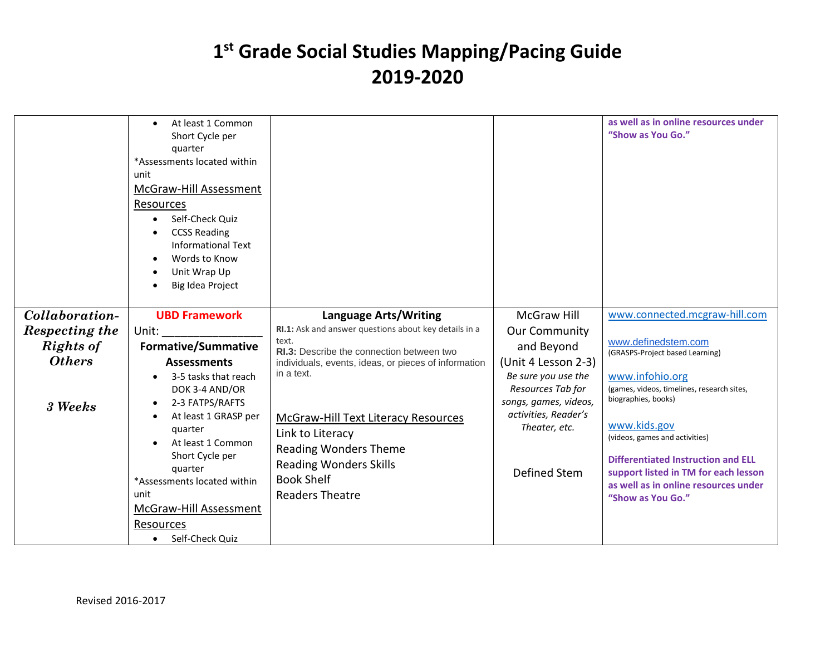|                | At least 1 Common<br>$\bullet$<br>Short Cycle per<br>quarter<br>*Assessments located within<br>unit<br>McGraw-Hill Assessment<br>Resources<br>Self-Check Quiz<br>$\bullet$<br><b>CCSS Reading</b><br><b>Informational Text</b><br>Words to Know<br>$\bullet$<br>Unit Wrap Up<br>$\bullet$<br>Big Idea Project |                                                       |                       | as well as in online resources under<br>"Show as You Go."         |
|----------------|---------------------------------------------------------------------------------------------------------------------------------------------------------------------------------------------------------------------------------------------------------------------------------------------------------------|-------------------------------------------------------|-----------------------|-------------------------------------------------------------------|
| Collaboration- | <b>UBD Framework</b>                                                                                                                                                                                                                                                                                          | Language Arts/Writing                                 | <b>McGraw Hill</b>    | www.connected.mcgraw-hill.com                                     |
| Respecting the | Unit:                                                                                                                                                                                                                                                                                                         | RI.1: Ask and answer questions about key details in a | <b>Our Community</b>  |                                                                   |
|                |                                                                                                                                                                                                                                                                                                               | text.                                                 |                       | www.definedstem.com                                               |
| Rights of      | <b>Formative/Summative</b>                                                                                                                                                                                                                                                                                    | RI.3: Describe the connection between two             | and Beyond            | (GRASPS-Project based Learning)                                   |
| <b>Others</b>  | <b>Assessments</b>                                                                                                                                                                                                                                                                                            | individuals, events, ideas, or pieces of information  | (Unit 4 Lesson 2-3)   |                                                                   |
|                | 3-5 tasks that reach<br>$\bullet$                                                                                                                                                                                                                                                                             | in a text.                                            | Be sure you use the   | www.infohio.org                                                   |
|                | DOK 3-4 AND/OR                                                                                                                                                                                                                                                                                                |                                                       | Resources Tab for     | (games, videos, timelines, research sites,<br>biographies, books) |
| 3 Weeks        | 2-3 FATPS/RAFTS<br>$\bullet$                                                                                                                                                                                                                                                                                  |                                                       | songs, games, videos, |                                                                   |
|                | At least 1 GRASP per<br>$\bullet$                                                                                                                                                                                                                                                                             | <b>McGraw-Hill Text Literacy Resources</b>            | activities, Reader's  | www.kids.gov                                                      |
|                | quarter                                                                                                                                                                                                                                                                                                       | Link to Literacy                                      | Theater, etc.         | (videos, games and activities)                                    |
|                | At least 1 Common                                                                                                                                                                                                                                                                                             | <b>Reading Wonders Theme</b>                          |                       |                                                                   |
|                | Short Cycle per                                                                                                                                                                                                                                                                                               | <b>Reading Wonders Skills</b>                         |                       | <b>Differentiated Instruction and ELL</b>                         |
|                | quarter<br>*Assessments located within                                                                                                                                                                                                                                                                        | <b>Book Shelf</b>                                     | Defined Stem          | support listed in TM for each lesson                              |
|                | unit                                                                                                                                                                                                                                                                                                          | <b>Readers Theatre</b>                                |                       | as well as in online resources under                              |
|                | McGraw-Hill Assessment                                                                                                                                                                                                                                                                                        |                                                       |                       | "Show as You Go."                                                 |
|                |                                                                                                                                                                                                                                                                                                               |                                                       |                       |                                                                   |
|                | Resources                                                                                                                                                                                                                                                                                                     |                                                       |                       |                                                                   |
|                | Self-Check Quiz<br>$\bullet$                                                                                                                                                                                                                                                                                  |                                                       |                       |                                                                   |